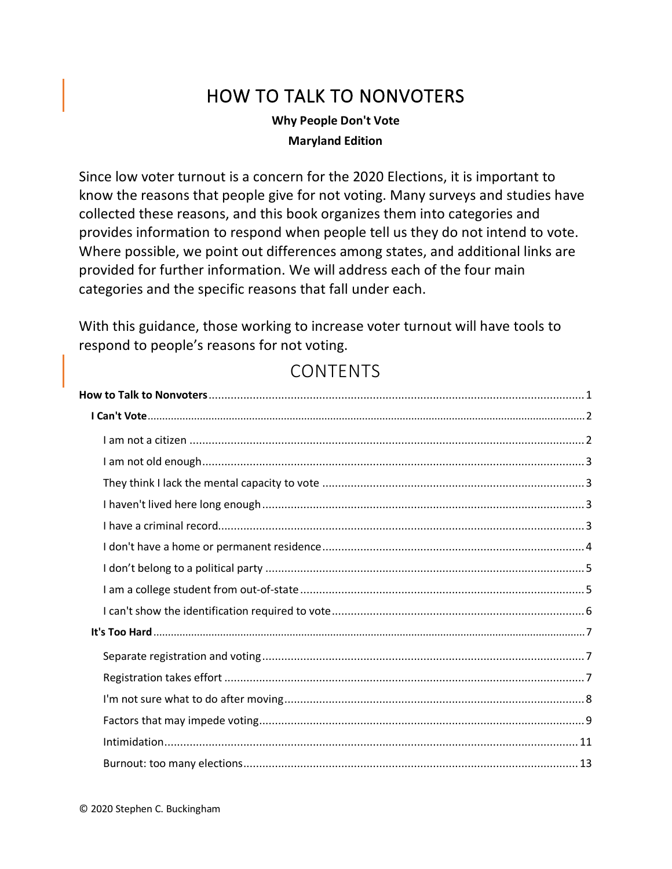# HOW TO TALK TO NONVOTERS

### **Why People Don't Vote Maryland Edition**

<span id="page-0-0"></span>Since low voter turnout is a concern for the 2020 Elections, it is important to know the reasons that people give for not voting. Many surveys and studies have collected these reasons, and this book organizes them into categories and provides information to respond when people tell us they do not intend to vote. Where possible, we point out differences among states, and additional links are provided for further information. We will address each of the four main categories and the specific reasons that fall under each.

With this guidance, those working to increase voter turnout will have tools to respond to people's reasons for not voting.

## CONTENTS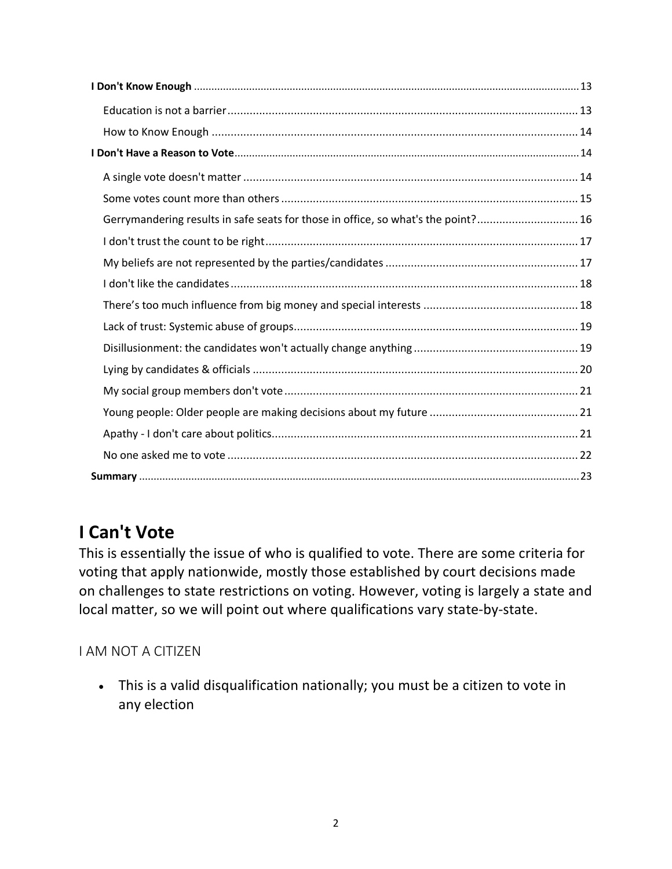| Gerrymandering results in safe seats for those in office, so what's the point? 16 |  |
|-----------------------------------------------------------------------------------|--|
|                                                                                   |  |
|                                                                                   |  |
|                                                                                   |  |
|                                                                                   |  |
|                                                                                   |  |
|                                                                                   |  |
|                                                                                   |  |
|                                                                                   |  |
|                                                                                   |  |
|                                                                                   |  |
|                                                                                   |  |
|                                                                                   |  |

# <span id="page-1-0"></span>**I Can't Vote**

This is essentially the issue of who is qualified to vote. There are some criteria for voting that apply nationwide, mostly those established by court decisions made on challenges to state restrictions on voting. However, voting is largely a state and local matter, so we will point out where qualifications vary state-by-state.

## <span id="page-1-1"></span>I AM NOT A CITIZEN

• This is a valid disqualification nationally; you must be a citizen to vote in any election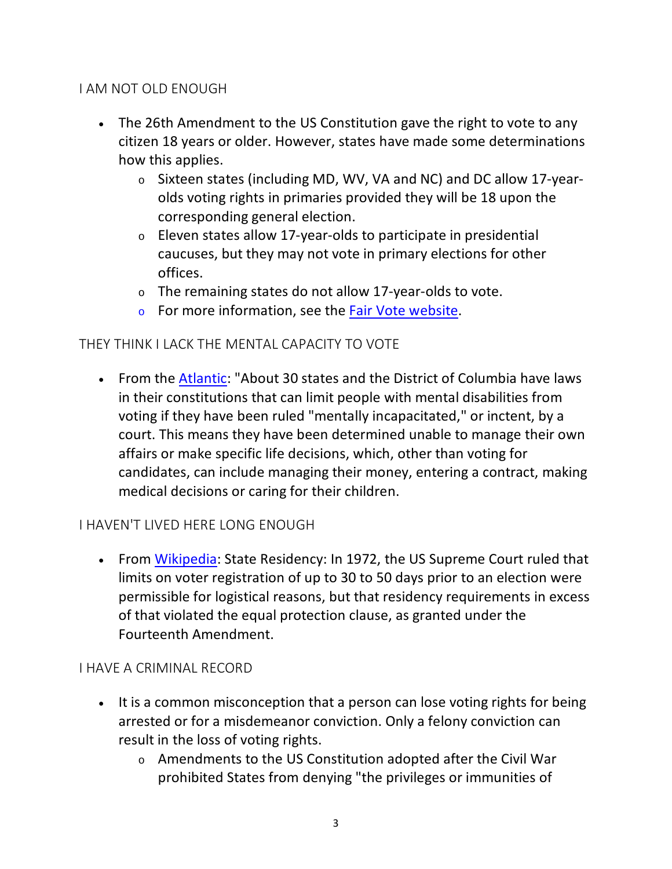### <span id="page-2-0"></span>I AM NOT OLD ENOUGH

- The 26th Amendment to the US Constitution gave the right to vote to any citizen 18 years or older. However, states have made some determinations how this applies.
	- <sup>o</sup> Sixteen states (including MD, WV, VA and NC) and DC allow 17-yearolds voting rights in primaries provided they will be 18 upon the corresponding general election.
	- <sup>o</sup> Eleven states allow 17-year-olds to participate in presidential caucuses, but they may not vote in primary elections for other offices.
	- <sup>o</sup> The remaining states do not allow 17-year-olds to vote.
	- <sup>o</sup> For more information, see the Fair [Vote website.](https://www.fairvote.org/primary_voting_at_age_171#facts_17_year_old_primary_voting)

### <span id="page-2-1"></span>THEY THINK I LACK THE MENTAL CAPACITY TO VOTE

• From the [Atlantic:](https://www.theatlantic.com/health/archive/2012/10/keeping-the-mentally-incompetent-from-voting/263748/) "About 30 states and the District of Columbia have laws in their constitutions that can limit people with mental disabilities from voting if they have been ruled "mentally incapacitated," or inctent, by a court. This means they have been determined unable to manage their own affairs or make specific life decisions, which, other than voting for candidates, can include managing their money, entering a contract, making medical decisions or caring for their children.

### <span id="page-2-2"></span>I HAVEN'T LIVED HERE LONG ENOUGH

• From [Wikipedia:](https://en.wikipedia.org/wiki/Voting_rights_in_the_United_States#Durational_residency) State Residency: In 1972, the US Supreme Court ruled that limits on voter registration of up to 30 to 50 days prior to an election were permissible for logistical reasons, but that residency requirements in excess of that violated the equal protection clause, as granted under the Fourteenth Amendment.

### <span id="page-2-3"></span>I HAVE A CRIMINAL RECORD

- It is a common misconception that a person can lose voting rights for being arrested or for a misdemeanor conviction. Only a felony conviction can result in the loss of voting rights.
	- <sup>o</sup> Amendments to the US Constitution adopted after the Civil War prohibited States from denying "the privileges or immunities of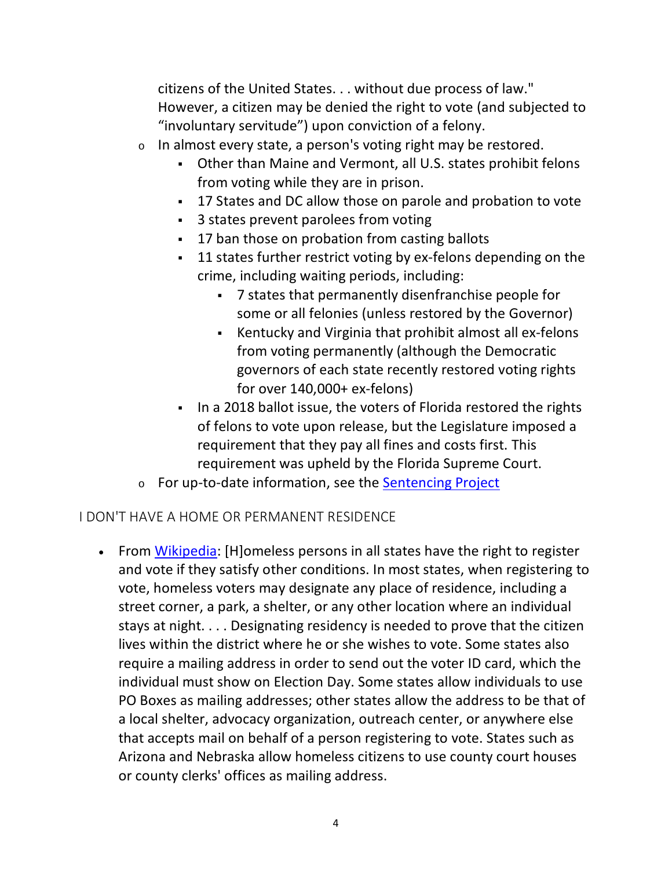citizens of the United States. . . without due process of law." However, a citizen may be denied the right to vote (and subjected to "involuntary servitude") upon conviction of a felony.

- <sup>o</sup> In almost every state, a person's voting right may be restored.
	- Other than Maine and Vermont, all U.S. states prohibit felons from voting while they are in prison.
	- 17 States and DC allow those on parole and probation to vote
	- 3 states prevent parolees from voting
	- **17 ban those on probation from casting ballots**
	- 11 states further restrict voting by ex-felons depending on the crime, including waiting periods, including:
		- 7 states that permanently disenfranchise people for some or all felonies (unless restored by the Governor)
		- Kentucky and Virginia that prohibit almost all ex-felons from voting permanently (although the Democratic governors of each state recently restored voting rights for over 140,000+ ex-felons)
	- In a 2018 ballot issue, the voters of Florida restored the rights of felons to vote upon release, but the Legislature imposed a requirement that they pay all fines and costs first. This requirement was upheld by the Florida Supreme Court.
- o For up-to-date information, see the [Sentencing Project](https://www.sentencingproject.org/publications/felony-disenfranchisement-a-primer/)

### <span id="page-3-0"></span>I DON'T HAVE A HOME OR PERMANENT RESIDENCE

• From [Wikipedia:](https://en.wikipedia.org/wiki/Voting_rights_in_the_United_States#Homelessness) [H]omeless persons in all states have the right to register and vote if they satisfy other conditions. In most states, when registering to vote, homeless voters may designate any place of residence, including a street corner, a park, a shelter, or any other location where an individual stays at night. . . . Designating residency is needed to prove that the citizen lives within the district where he or she wishes to vote. Some states also require a mailing address in order to send out the voter ID card, which the individual must show on Election Day. Some states allow individuals to use PO Boxes as mailing addresses; other states allow the address to be that of a local shelter, advocacy organization, outreach center, or anywhere else that accepts mail on behalf of a person registering to vote. States such as Arizona and Nebraska allow homeless citizens to use county court houses or county clerks' offices as mailing address.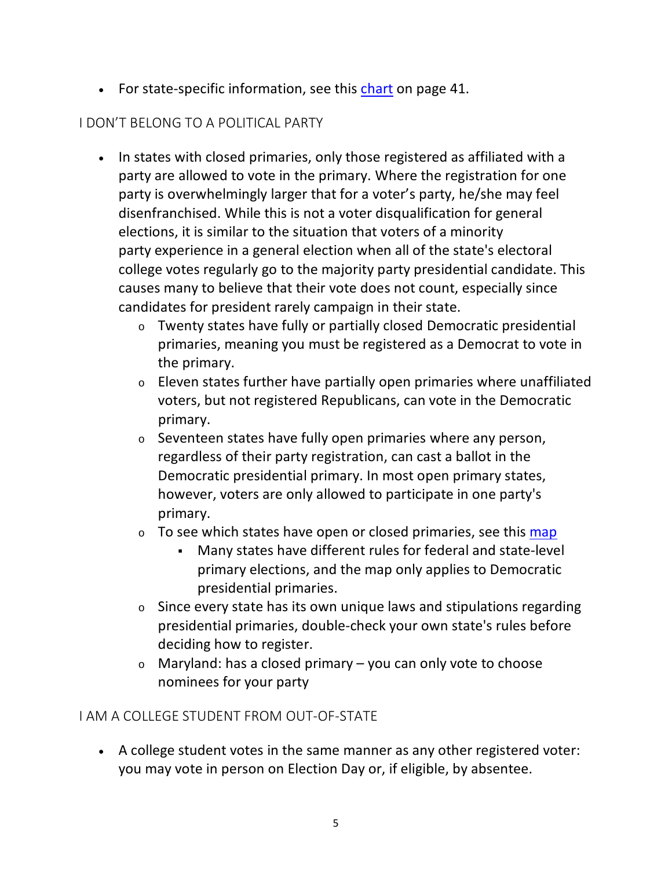• For state-specific information, see this [chart](https://www.nationalhomeless.org/projects/vote/Manual_2011.pdf) on page 41.

## <span id="page-4-0"></span>I DON'T BELONG TO A POLITICAL PARTY

- In states with closed primaries, only those registered as affiliated with a party are allowed to vote in the primary. Where the registration for one party is overwhelmingly larger that for a voter's party, he/she may feel disenfranchised. While this is not a voter disqualification for general elections, it is similar to the situation that voters of a minority party experience in a general election when all of the state's electoral college votes regularly go to the majority party presidential candidate. This causes many to believe that their vote does not count, especially since candidates for president rarely campaign in their state.
	- <sup>o</sup> Twenty states have fully or partially closed Democratic presidential primaries, meaning you must be registered as a Democrat to vote in the primary.
	- <sup>o</sup> Eleven states further have partially open primaries where unaffiliated voters, but not registered Republicans, can vote in the Democratic primary.
	- <sup>o</sup> Seventeen states have fully open primaries where any person, regardless of their party registration, can cast a ballot in the Democratic presidential primary. In most open primary states, however, voters are only allowed to participate in one party's primary.
	- $\circ$  To see which states have open or closed primaries, see this [map](https://i.insider.com/5e4580522dae5c44d469ff0a?width=800&format=jpeg&auto=webp)
		- Many states have different rules for federal and state-level primary elections, and the map only applies to Democratic presidential primaries.
	- $\circ$  Since every state has its own unique laws and stipulations regarding presidential primaries, double-check your own state's rules before deciding how to register.
	- $\circ$  Maryland: has a closed primary you can only vote to choose nominees for your party

## <span id="page-4-1"></span>I AM A COLLEGE STUDENT FROM OUT-OF-STATE

• A college student votes in the same manner as any other registered voter: you may vote in person on Election Day or, if eligible, by absentee.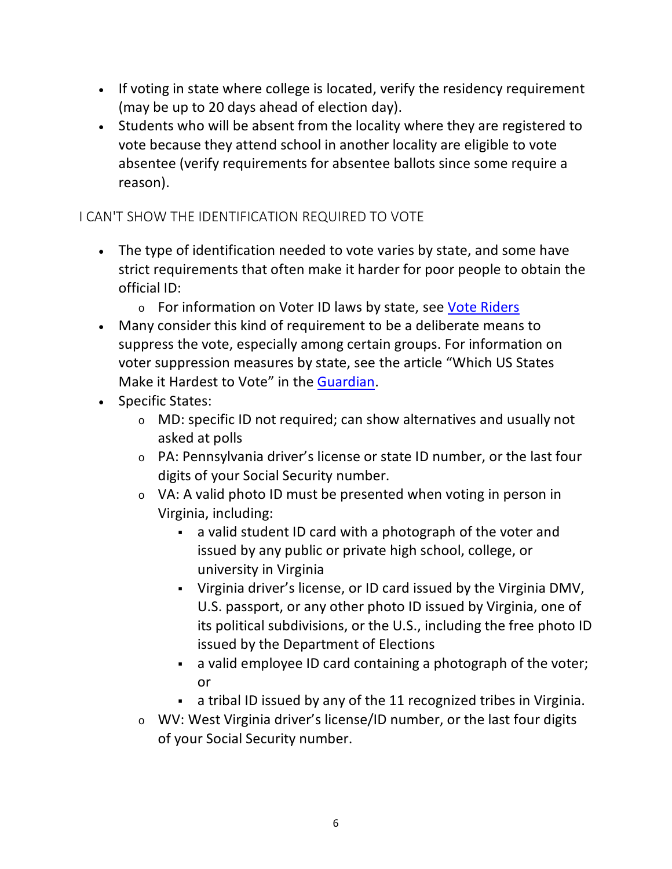- If voting in state where college is located, verify the residency requirement (may be up to 20 days ahead of election day).
- Students who will be absent from the locality where they are registered to vote because they attend school in another locality are eligible to vote absentee (verify requirements for absentee ballots since some require a reason).

## <span id="page-5-0"></span>I CAN'T SHOW THE IDENTIFICATION REQUIRED TO VOTE

- The type of identification needed to vote varies by state, and some have strict requirements that often make it harder for poor people to obtain the official ID:
	- o For information on Voter ID laws by state, see [Vote Riders](https://www.voteriders.org/get-voter-id/)
- Many consider this kind of requirement to be a deliberate means to suppress the vote, especially among certain groups. For information on voter suppression measures by state, see the article "Which US States Make it Hardest to Vote" in the [Guardian.](https://www.theguardian.com/us-news/ng-interactive/2019/nov/07/which-us-states-hardest-vote-supression-election)
- Specific States:
	- <sup>o</sup> MD: specific ID not required; can show alternatives and usually not asked at polls
	- <sup>o</sup> PA: Pennsylvania driver's license or state ID number, or the last four digits of your Social Security number.
	- <sup>o</sup> VA: A valid photo ID must be presented when voting in person in Virginia, including:
		- a valid student ID card with a photograph of the voter and issued by any public or private high school, college, or university in Virginia
		- Virginia driver's license, or ID card issued by the Virginia DMV, U.S. passport, or any other photo ID issued by Virginia, one of its political subdivisions, or the U.S., including the free photo ID issued by the Department of Elections
		- a valid employee ID card containing a photograph of the voter; or
		- a tribal ID issued by any of the 11 recognized tribes in Virginia.
	- <sup>o</sup> WV: West Virginia driver's license/ID number, or the last four digits of your Social Security number.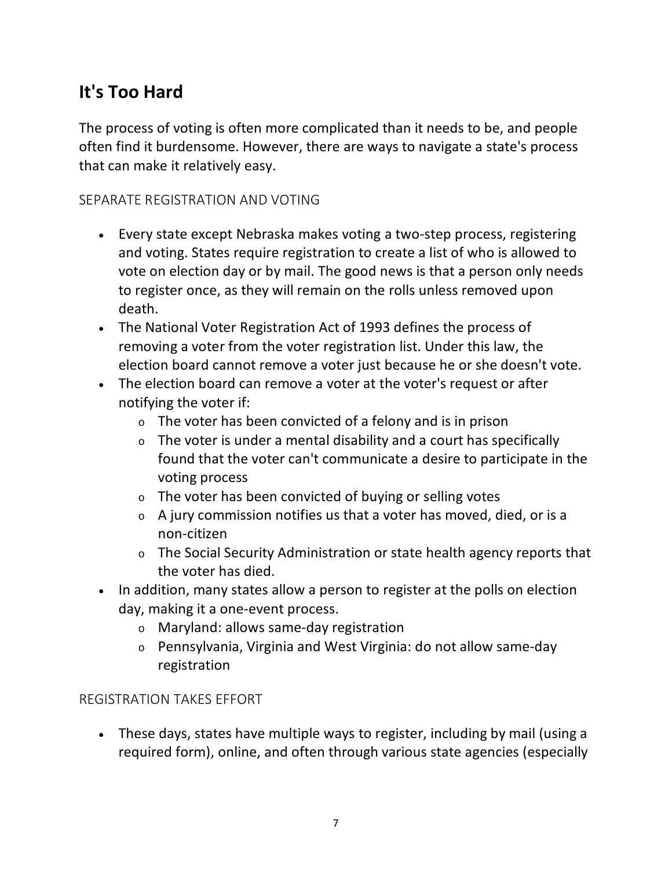# <span id="page-6-0"></span>**It's Too Hard**

The process of voting is often more complicated than it needs to be, and people often find it burdensome. However, there are ways to navigate a state's process that can make it relatively easy.

### <span id="page-6-1"></span>SEPARATE REGISTRATION AND VOTING

- Every state except Nebraska makes voting a two-step process, registering and voting. States require registration to create a list of who is allowed to vote on election day or by mail. The good news is that a person only needs to register once, as they will remain on the rolls unless removed upon death.
- The National Voter Registration Act of 1993 defines the process of removing a voter from the voter registration list. Under this law, the election board cannot remove a voter just because he or she doesn't vote.
- The election board can remove a voter at the voter's request or after notifying the voter if:
	- <sup>o</sup> The voter has been convicted of a felony and is in prison
	- $\circ$  The voter is under a mental disability and a court has specifically found that the voter can't communicate a desire to participate in the voting process
	- <sup>o</sup> The voter has been convicted of buying or selling votes
	- <sup>o</sup> A jury commission notifies us that a voter has moved, died, or is a non-citizen
	- <sup>o</sup> The Social Security Administration or state health agency reports that the voter has died.
- In addition, many states allow a person to register at the polls on election day, making it a one-event process.
	- <sup>o</sup> Maryland: allows same-day registration
	- <sup>o</sup> Pennsylvania, Virginia and West Virginia: do not allow same-day registration

### <span id="page-6-2"></span>REGISTRATION TAKES EFFORT

• These days, states have multiple ways to register, including by mail (using a required form), online, and often through various state agencies (especially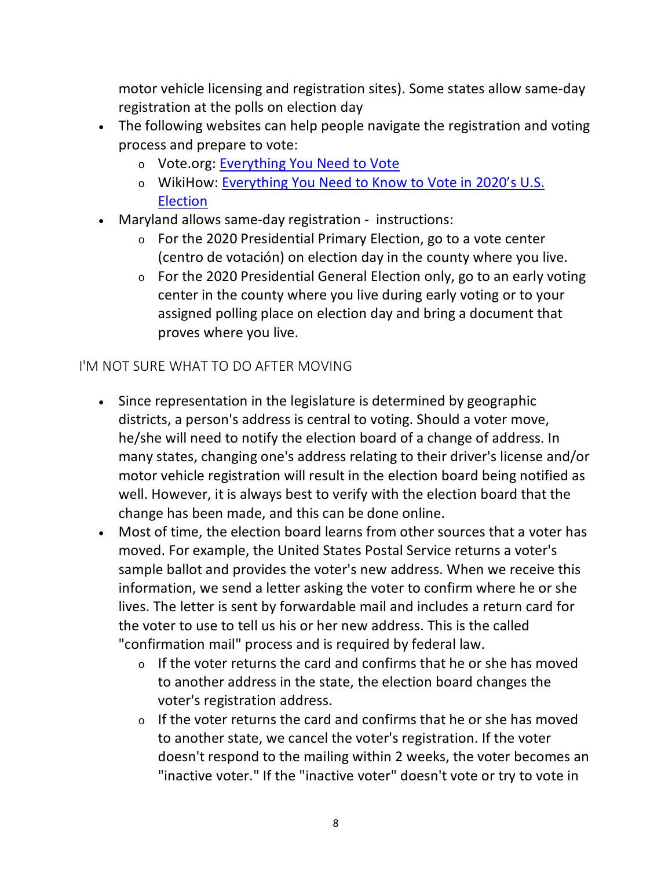motor vehicle licensing and registration sites). Some states allow same-day registration at the polls on election day

- The following websites can help people navigate the registration and voting process and prepare to vote:
	- <sup>o</sup> Vote.org: [Everything You Need to](https://www.vote.org/) Vote
	- <sup>o</sup> WikiHow: [Everything You Need to Know to Vote in 2020's U.S.](https://www.wikihow.com/Vote2020?link_id=9&can_id=5b66c1f53d18aab418a4296b58100172&source=email-voteready-day-2&email_referrer=email_874547&email_subject=voteready-day)  [Election](https://www.wikihow.com/Vote2020?link_id=9&can_id=5b66c1f53d18aab418a4296b58100172&source=email-voteready-day-2&email_referrer=email_874547&email_subject=voteready-day)
- Maryland allows same-day registration instructions:
	- $\circ$  For the 2020 Presidential Primary Election, go to a vote center (centro de votación) on election day in the county where you live.
	- <sup>o</sup> For the 2020 Presidential General Election only, go to an early voting center in the county where you live during early voting or to your assigned polling place on election day and bring a document that proves where you live.

## <span id="page-7-0"></span>I'M NOT SURE WHAT TO DO AFTER MOVING

- Since representation in the legislature is determined by geographic districts, a person's address is central to voting. Should a voter move, he/she will need to notify the election board of a change of address. In many states, changing one's address relating to their driver's license and/or motor vehicle registration will result in the election board being notified as well. However, it is always best to verify with the election board that the change has been made, and this can be done online.
- Most of time, the election board learns from other sources that a voter has moved. For example, the United States Postal Service returns a voter's sample ballot and provides the voter's new address. When we receive this information, we send a letter asking the voter to confirm where he or she lives. The letter is sent by forwardable mail and includes a return card for the voter to use to tell us his or her new address. This is the called "confirmation mail" process and is required by federal law.
	- $\circ$  If the voter returns the card and confirms that he or she has moved to another address in the state, the election board changes the voter's registration address.
	- $\circ$  If the voter returns the card and confirms that he or she has moved to another state, we cancel the voter's registration. If the voter doesn't respond to the mailing within 2 weeks, the voter becomes an "inactive voter." If the "inactive voter" doesn't vote or try to vote in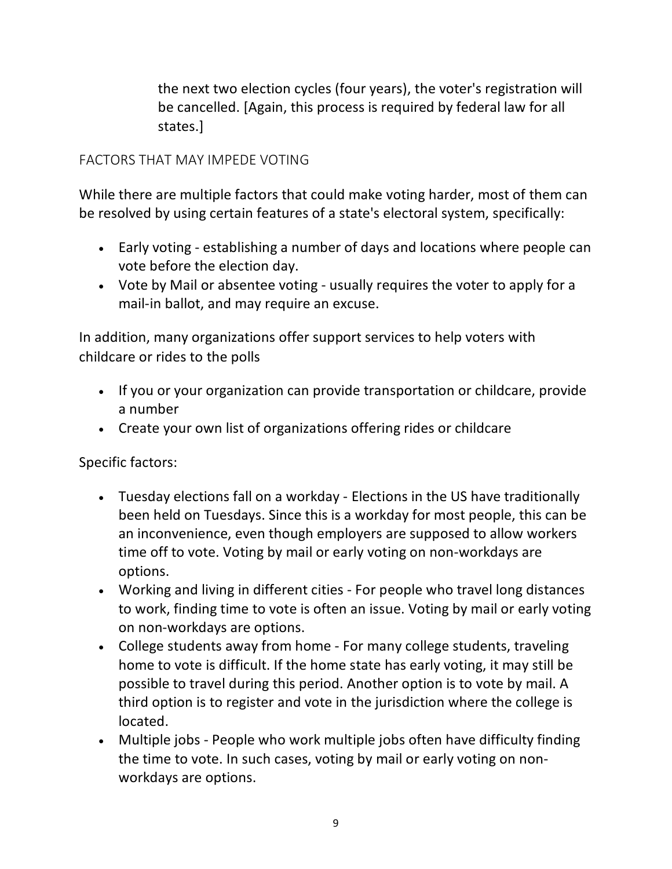the next two election cycles (four years), the voter's registration will be cancelled. [Again, this process is required by federal law for all states.]

## <span id="page-8-0"></span>FACTORS THAT MAY IMPEDE VOTING

While there are multiple factors that could make voting harder, most of them can be resolved by using certain features of a state's electoral system, specifically:

- Early voting establishing a number of days and locations where people can vote before the election day.
- Vote by Mail or absentee voting usually requires the voter to apply for a mail-in ballot, and may require an excuse.

In addition, many organizations offer support services to help voters with childcare or rides to the polls

- If you or your organization can provide transportation or childcare, provide a number
- Create your own list of organizations offering rides or childcare

Specific factors:

- Tuesday elections fall on a workday Elections in the US have traditionally been held on Tuesdays. Since this is a workday for most people, this can be an inconvenience, even though employers are supposed to allow workers time off to vote. Voting by mail or early voting on non-workdays are options.
- Working and living in different cities For people who travel long distances to work, finding time to vote is often an issue. Voting by mail or early voting on non-workdays are options.
- College students away from home For many college students, traveling home to vote is difficult. If the home state has early voting, it may still be possible to travel during this period. Another option is to vote by mail. A third option is to register and vote in the jurisdiction where the college is located.
- Multiple jobs People who work multiple jobs often have difficulty finding the time to vote. In such cases, voting by mail or early voting on nonworkdays are options.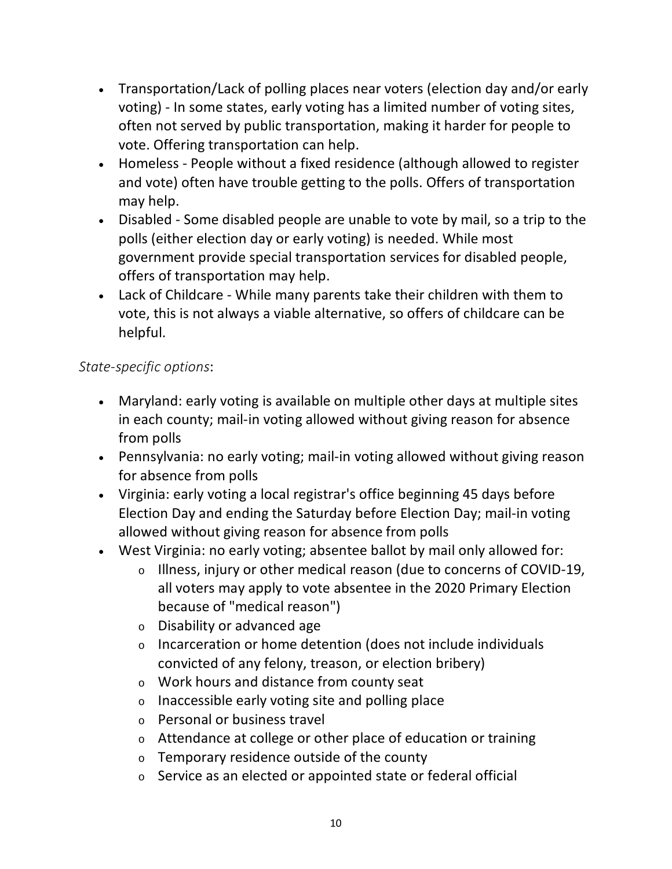- Transportation/Lack of polling places near voters (election day and/or early voting) - In some states, early voting has a limited number of voting sites, often not served by public transportation, making it harder for people to vote. Offering transportation can help.
- Homeless People without a fixed residence (although allowed to register and vote) often have trouble getting to the polls. Offers of transportation may help.
- Disabled Some disabled people are unable to vote by mail, so a trip to the polls (either election day or early voting) is needed. While most government provide special transportation services for disabled people, offers of transportation may help.
- Lack of Childcare While many parents take their children with them to vote, this is not always a viable alternative, so offers of childcare can be helpful.

## *State-specific options*:

- Maryland: early voting is available on multiple other days at multiple sites in each county; mail-in voting allowed without giving reason for absence from polls
- Pennsylvania: no early voting; mail-in voting allowed without giving reason for absence from polls
- Virginia: early voting a local registrar's office beginning 45 days before Election Day and ending the Saturday before Election Day; mail-in voting allowed without giving reason for absence from polls
- West Virginia: no early voting; absentee ballot by mail only allowed for:
	- <sup>o</sup> Illness, injury or other medical reason (due to concerns of COVID-19, all voters may apply to vote absentee in the 2020 Primary Election because of "medical reason")
	- <sup>o</sup> Disability or advanced age
	- <sup>o</sup> Incarceration or home detention (does not include individuals convicted of any felony, treason, or election bribery)
	- <sup>o</sup> Work hours and distance from county seat
	- <sup>o</sup> Inaccessible early voting site and polling place
	- <sup>o</sup> Personal or business travel
	- <sup>o</sup> Attendance at college or other place of education or training
	- <sup>o</sup> Temporary residence outside of the county
	- <sup>o</sup> Service as an elected or appointed state or federal official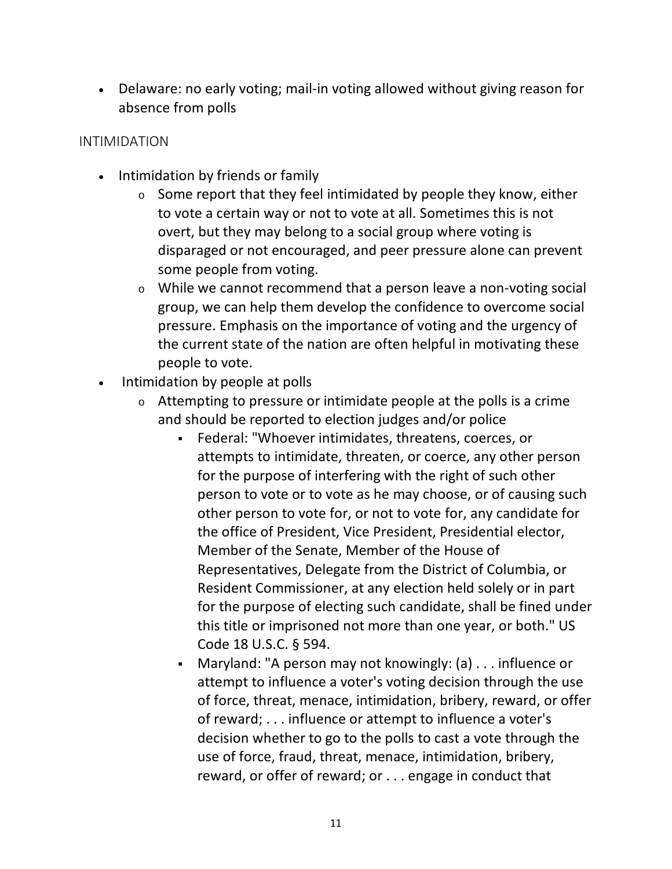• Delaware: no early voting; mail-in voting allowed without giving reason for absence from polls

#### <span id="page-10-0"></span>INTIMIDATION

- Intimidation by friends or family
	- <sup>o</sup> Some report that they feel intimidated by people they know, either to vote a certain way or not to vote at all. Sometimes this is not overt, but they may belong to a social group where voting is disparaged or not encouraged, and peer pressure alone can prevent some people from voting.
	- <sup>o</sup> While we cannot recommend that a person leave a non-voting social group, we can help them develop the confidence to overcome social pressure. Emphasis on the importance of voting and the urgency of the current state of the nation are often helpful in motivating these people to vote.
- Intimidation by people at polls
	- $\circ$  Attempting to pressure or intimidate people at the polls is a crime and should be reported to election judges and/or police
		- Federal: "Whoever intimidates, threatens, coerces, or attempts to intimidate, threaten, or coerce, any other person for the purpose of interfering with the right of such other person to vote or to vote as he may choose, or of causing such other person to vote for, or not to vote for, any candidate for the office of President, Vice President, Presidential elector, Member of the Senate, Member of the House of Representatives, Delegate from the District of Columbia, or Resident Commissioner, at any election held solely or in part for the purpose of electing such candidate, shall be fined under this title or imprisoned not more than one year, or both." US Code 18 U.S.C. § 594.
		- Maryland: "A person may not knowingly: (a) . . . influence or attempt to influence a voter's voting decision through the use of force, threat, menace, intimidation, bribery, reward, or offer of reward; . . . influence or attempt to influence a voter's decision whether to go to the polls to cast a vote through the use of force, fraud, threat, menace, intimidation, bribery, reward, or offer of reward; or . . . engage in conduct that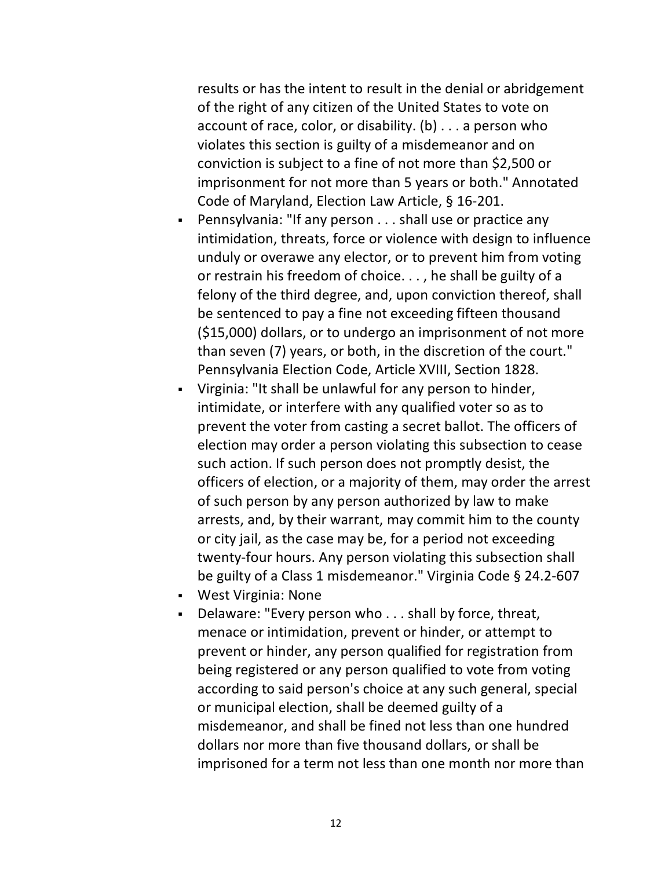results or has the intent to result in the denial or abridgement of the right of any citizen of the United States to vote on account of race, color, or disability. (b) . . . a person who violates this section is guilty of a misdemeanor and on conviction is subject to a fine of not more than \$2,500 or imprisonment for not more than 5 years or both." Annotated Code of Maryland, Election Law Article, § 16-201.

- Pennsylvania: "If any person . . . shall use or practice any intimidation, threats, force or violence with design to influence unduly or overawe any elector, or to prevent him from voting or restrain his freedom of choice. . . , he shall be guilty of a felony of the third degree, and, upon conviction thereof, shall be sentenced to pay a fine not exceeding fifteen thousand (\$15,000) dollars, or to undergo an imprisonment of not more than seven (7) years, or both, in the discretion of the court." Pennsylvania Election Code, Article XVIII, Section 1828.
- Virginia: "It shall be unlawful for any person to hinder, intimidate, or interfere with any qualified voter so as to prevent the voter from casting a secret ballot. The officers of election may order a person violating this subsection to cease such action. If such person does not promptly desist, the officers of election, or a majority of them, may order the arrest of such person by any person authorized by law to make arrests, and, by their warrant, may commit him to the county or city jail, as the case may be, for a period not exceeding twenty-four hours. Any person violating this subsection shall be guilty of a Class 1 misdemeanor." Virginia Code § 24.2-607
- West Virginia: None
- Delaware: "Every person who . . . shall by force, threat, menace or intimidation, prevent or hinder, or attempt to prevent or hinder, any person qualified for registration from being registered or any person qualified to vote from voting according to said person's choice at any such general, special or municipal election, shall be deemed guilty of a misdemeanor, and shall be fined not less than one hundred dollars nor more than five thousand dollars, or shall be imprisoned for a term not less than one month nor more than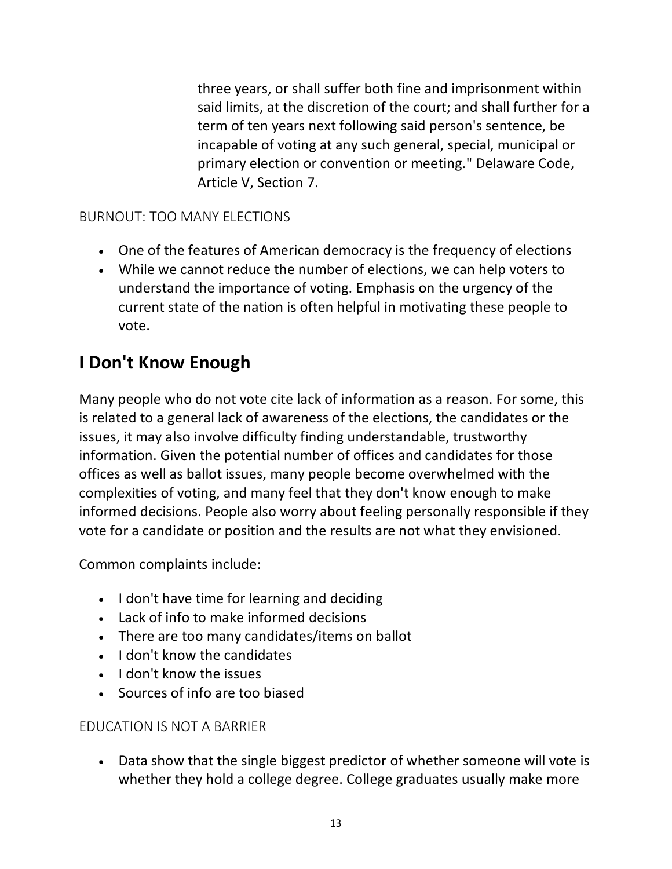three years, or shall suffer both fine and imprisonment within said limits, at the discretion of the court; and shall further for a term of ten years next following said person's sentence, be incapable of voting at any such general, special, municipal or primary election or convention or meeting." Delaware Code, Article V, Section 7.

### <span id="page-12-0"></span>BURNOUT: TOO MANY ELECTIONS

- One of the features of American democracy is the frequency of elections
- While we cannot reduce the number of elections, we can help voters to understand the importance of voting. Emphasis on the urgency of the current state of the nation is often helpful in motivating these people to vote.

## <span id="page-12-1"></span>**I Don't Know Enough**

Many people who do not vote cite lack of information as a reason. For some, this is related to a general lack of awareness of the elections, the candidates or the issues, it may also involve difficulty finding understandable, trustworthy information. Given the potential number of offices and candidates for those offices as well as ballot issues, many people become overwhelmed with the complexities of voting, and many feel that they don't know enough to make informed decisions. People also worry about feeling personally responsible if they vote for a candidate or position and the results are not what they envisioned.

Common complaints include:

- I don't have time for learning and deciding
- Lack of info to make informed decisions
- There are too many candidates/items on ballot
- I don't know the candidates
- I don't know the issues
- Sources of info are too biased

## <span id="page-12-2"></span>EDUCATION IS NOT A BARRIER

• Data show that the single biggest predictor of whether someone will vote is whether they hold a college degree. College graduates usually make more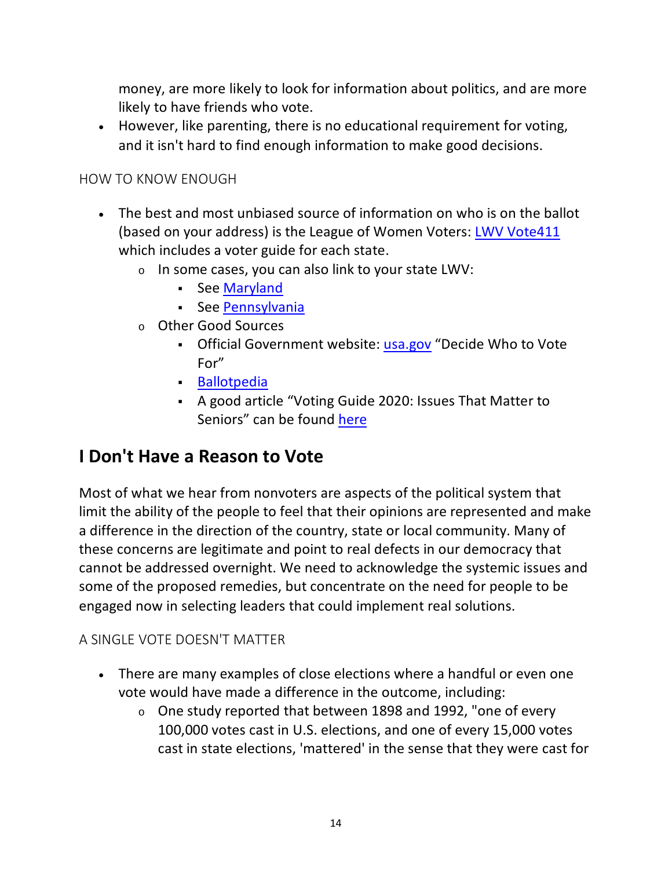money, are more likely to look for information about politics, and are more likely to have friends who vote.

• However, like parenting, there is no educational requirement for voting, and it isn't hard to find enough information to make good decisions.

### <span id="page-13-0"></span>HOW TO KNOW ENOUGH

- The best and most unbiased source of information on who is on the ballot (based on your address) is the League of Women Voters: [LWV Vote411](https://www.vote411.org/ballot) which includes a voter guide for each state.
	- $\circ$  In some cases, you can also link to your state LWV:
		- See [Maryland](https://www.lwvmd.org/)
		- **See [Pennsylvania](https://www.palwv.org/?_ga=2.99219672.737984064.1594913747-1554286742.1594913747)**
	- <sup>o</sup> Other Good Sources
		- Official Government website: [usa.gov](https://www.usa.gov/voter-research) "Decide Who to Vote For"
		- **-** [Ballotpedia](https://ballotpedia.org/Main_Page)
		- A good article "Voting Guide 2020: Issues That Matter to Seniors" can be found [here](https://retireguide.com/guides/seniors-voting-guide-2020/)

## <span id="page-13-1"></span>**I Don't Have a Reason to Vote**

Most of what we hear from nonvoters are aspects of the political system that limit the ability of the people to feel that their opinions are represented and make a difference in the direction of the country, state or local community. Many of these concerns are legitimate and point to real defects in our democracy that cannot be addressed overnight. We need to acknowledge the systemic issues and some of the proposed remedies, but concentrate on the need for people to be engaged now in selecting leaders that could implement real solutions.

## <span id="page-13-2"></span>A SINGLE VOTE DOESN'T MATTER

- There are many examples of close elections where a handful or even one vote would have made a difference in the outcome, including:
	- <sup>o</sup> One study reported that between 1898 and 1992, "one of every 100,000 votes cast in U.S. elections, and one of every 15,000 votes cast in state elections, 'mattered' in the sense that they were cast for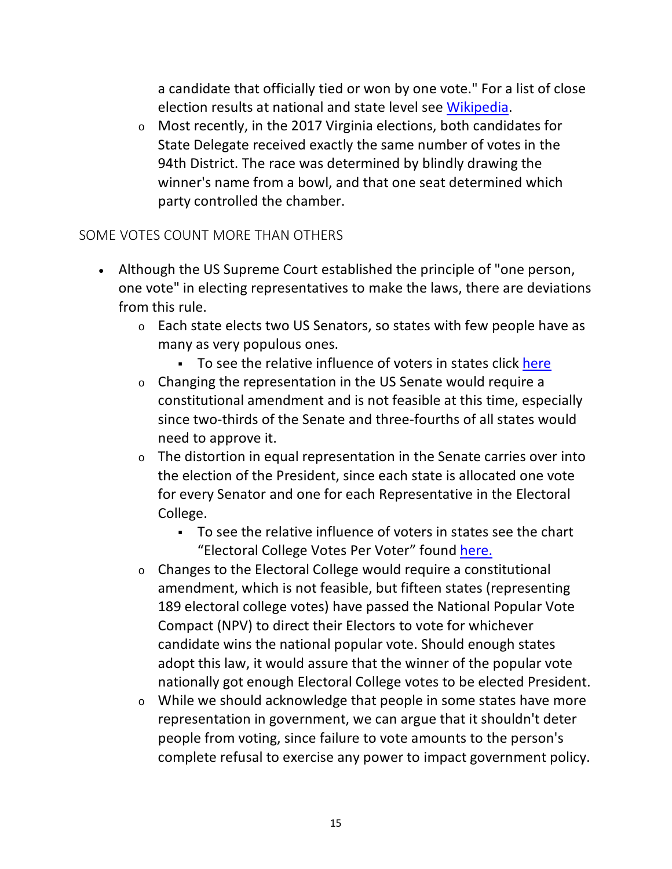a candidate that officially tied or won by one vote." For a list of close election results at national and state level see [Wikipedia.](https://en.wikipedia.org/wiki/List_of_close_election_results)

<sup>o</sup> Most recently, in the 2017 Virginia elections, both candidates for State Delegate received exactly the same number of votes in the 94th District. The race was determined by blindly drawing the winner's name from a bowl, and that one seat determined which party controlled the chamber.

### <span id="page-14-0"></span>SOME VOTES COUNT MORE THAN OTHERS

- Although the US Supreme Court established the principle of "one person, one vote" in electing representatives to make the laws, there are deviations from this rule.
	- <sup>o</sup> Each state elects two US Senators, so states with few people have as many as very populous ones.
		- To see the relative influence of voters in states click [here](https://archive.nytimes.com/screenshots/www.nytimes.com/interactive/2013/03/11/us/politics/small-state-advantage.jpg)
	- <sup>o</sup> Changing the representation in the US Senate would require a constitutional amendment and is not feasible at this time, especially since two-thirds of the Senate and three-fourths of all states would need to approve it.
	- $\circ$  The distortion in equal representation in the Senate carries over into the election of the President, since each state is allocated one vote for every Senator and one for each Representative in the Electoral College.
		- To see the relative influence of voters in states see the chart "Electoral College Votes Per Voter" found [here.](https://www.sandersinstitute.com/blog/why-dont-Americans-vote)
	- <sup>o</sup> Changes to the Electoral College would require a constitutional amendment, which is not feasible, but fifteen states (representing 189 electoral college votes) have passed the National Popular Vote Compact (NPV) to direct their Electors to vote for whichever candidate wins the national popular vote. Should enough states adopt this law, it would assure that the winner of the popular vote nationally got enough Electoral College votes to be elected President.
	- <sup>o</sup> While we should acknowledge that people in some states have more representation in government, we can argue that it shouldn't deter people from voting, since failure to vote amounts to the person's complete refusal to exercise any power to impact government policy.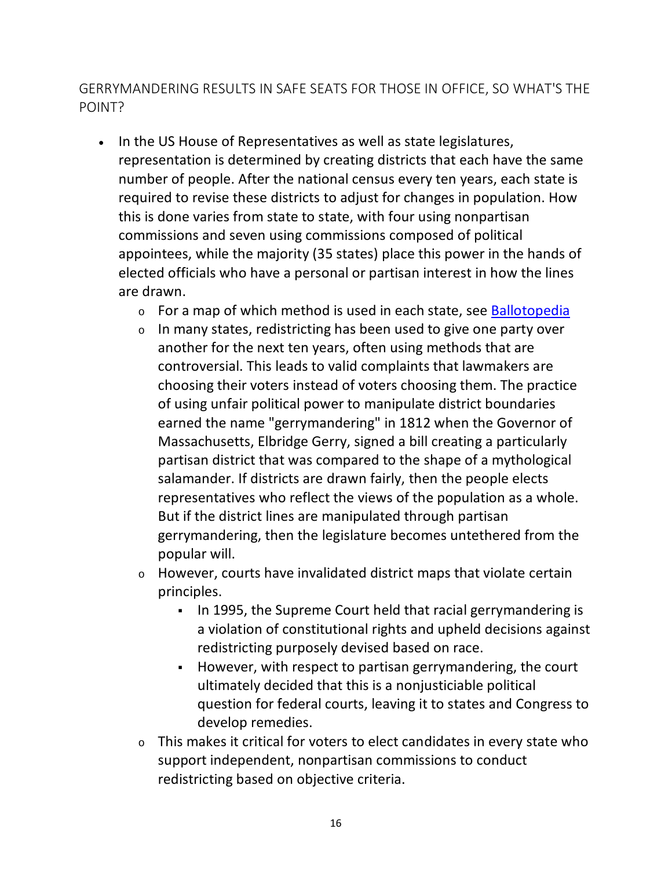<span id="page-15-0"></span>GERRYMANDERING RESULTS IN SAFE SEATS FOR THOSE IN OFFICE, SO WHAT'S THE POINT?

- In the US House of Representatives as well as state legislatures, representation is determined by creating districts that each have the same number of people. After the national census every ten years, each state is required to revise these districts to adjust for changes in population. How this is done varies from state to state, with four using nonpartisan commissions and seven using commissions composed of political appointees, while the majority (35 states) place this power in the hands of elected officials who have a personal or partisan interest in how the lines are drawn.
	- $\circ$  For a map of which method is used in each state, see [Ballotopedia](https://ballotpedia.org/Redistricting)
	- <sup>o</sup> In many states, redistricting has been used to give one party over another for the next ten years, often using methods that are controversial. This leads to valid complaints that lawmakers are choosing their voters instead of voters choosing them. The practice of using unfair political power to manipulate district boundaries earned the name "gerrymandering" in 1812 when the Governor of Massachusetts, Elbridge Gerry, signed a bill creating a particularly partisan district that was compared to the shape of a mythological salamander. If districts are drawn fairly, then the people elects representatives who reflect the views of the population as a whole. But if the district lines are manipulated through partisan gerrymandering, then the legislature becomes untethered from the popular will.
	- <sup>o</sup> However, courts have invalidated district maps that violate certain principles.
		- In 1995, the Supreme Court held that racial gerrymandering is a violation of constitutional rights and upheld decisions against redistricting purposely devised based on race.
		- However, with respect to partisan gerrymandering, the court ultimately decided that this is a nonjusticiable political question for federal courts, leaving it to states and Congress to develop remedies.
	- $\circ$  This makes it critical for voters to elect candidates in every state who support independent, nonpartisan commissions to conduct redistricting based on objective criteria.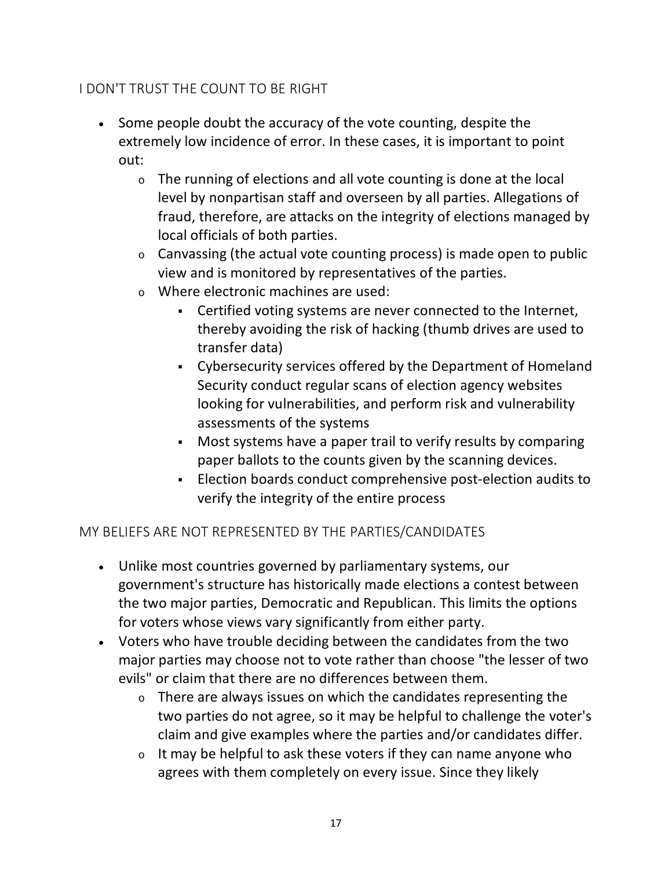## <span id="page-16-0"></span>I DON'T TRUST THE COUNT TO BE RIGHT

- Some people doubt the accuracy of the vote counting, despite the extremely low incidence of error. In these cases, it is important to point out:
	- <sup>o</sup> The running of elections and all vote counting is done at the local level by nonpartisan staff and overseen by all parties. Allegations of fraud, therefore, are attacks on the integrity of elections managed by local officials of both parties.
	- $\circ$  Canvassing (the actual vote counting process) is made open to public view and is monitored by representatives of the parties.
	- <sup>o</sup> Where electronic machines are used:
		- Certified voting systems are never connected to the Internet, thereby avoiding the risk of hacking (thumb drives are used to transfer data)
		- Cybersecurity services offered by the Department of Homeland Security conduct regular scans of election agency websites looking for vulnerabilities, and perform risk and vulnerability assessments of the systems
		- Most systems have a paper trail to verify results by comparing paper ballots to the counts given by the scanning devices.
		- Election boards conduct comprehensive post-election audits to verify the integrity of the entire process

### <span id="page-16-1"></span>MY BELIEFS ARE NOT REPRESENTED BY THE PARTIES/CANDIDATES

- Unlike most countries governed by parliamentary systems, our government's structure has historically made elections a contest between the two major parties, Democratic and Republican. This limits the options for voters whose views vary significantly from either party.
- Voters who have trouble deciding between the candidates from the two major parties may choose not to vote rather than choose "the lesser of two evils" or claim that there are no differences between them.
	- <sup>o</sup> There are always issues on which the candidates representing the two parties do not agree, so it may be helpful to challenge the voter's claim and give examples where the parties and/or candidates differ.
	- $\circ$  It may be helpful to ask these voters if they can name anyone who agrees with them completely on every issue. Since they likely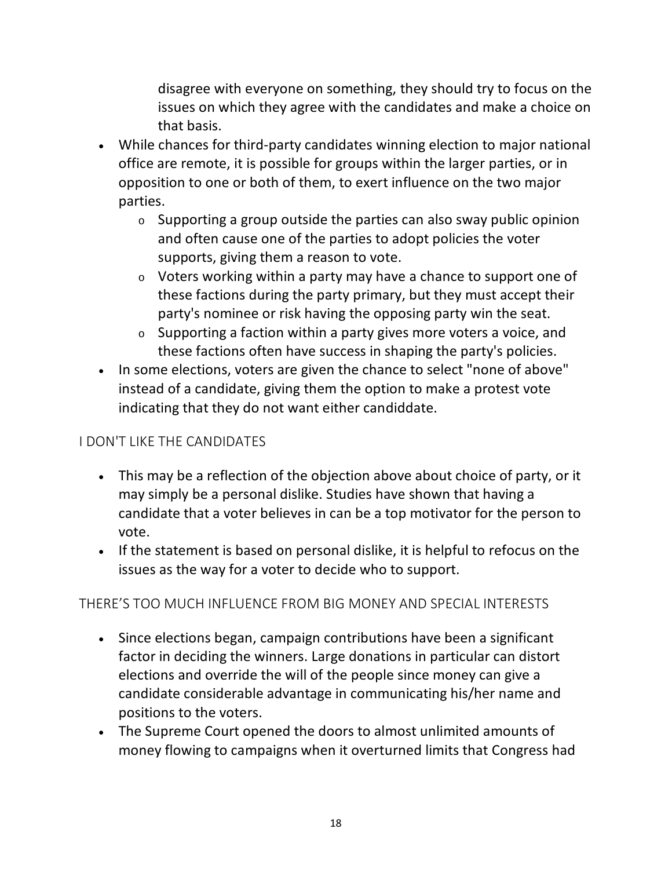disagree with everyone on something, they should try to focus on the issues on which they agree with the candidates and make a choice on that basis.

- While chances for third-party candidates winning election to major national office are remote, it is possible for groups within the larger parties, or in opposition to one or both of them, to exert influence on the two major parties.
	- $\circ$  Supporting a group outside the parties can also sway public opinion and often cause one of the parties to adopt policies the voter supports, giving them a reason to vote.
	- <sup>o</sup> Voters working within a party may have a chance to support one of these factions during the party primary, but they must accept their party's nominee or risk having the opposing party win the seat.
	- $\circ$  Supporting a faction within a party gives more voters a voice, and these factions often have success in shaping the party's policies.
- In some elections, voters are given the chance to select "none of above" instead of a candidate, giving them the option to make a protest vote indicating that they do not want either candiddate.

## <span id="page-17-0"></span>I DON'T LIKE THE CANDIDATES

- This may be a reflection of the objection above about choice of party, or it may simply be a personal dislike. Studies have shown that having a candidate that a voter believes in can be a top motivator for the person to vote.
- If the statement is based on personal dislike, it is helpful to refocus on the issues as the way for a voter to decide who to support.

## <span id="page-17-1"></span>THERE'S TOO MUCH INFLUENCE FROM BIG MONEY AND SPECIAL INTERESTS

- Since elections began, campaign contributions have been a significant factor in deciding the winners. Large donations in particular can distort elections and override the will of the people since money can give a candidate considerable advantage in communicating his/her name and positions to the voters.
- The Supreme Court opened the doors to almost unlimited amounts of money flowing to campaigns when it overturned limits that Congress had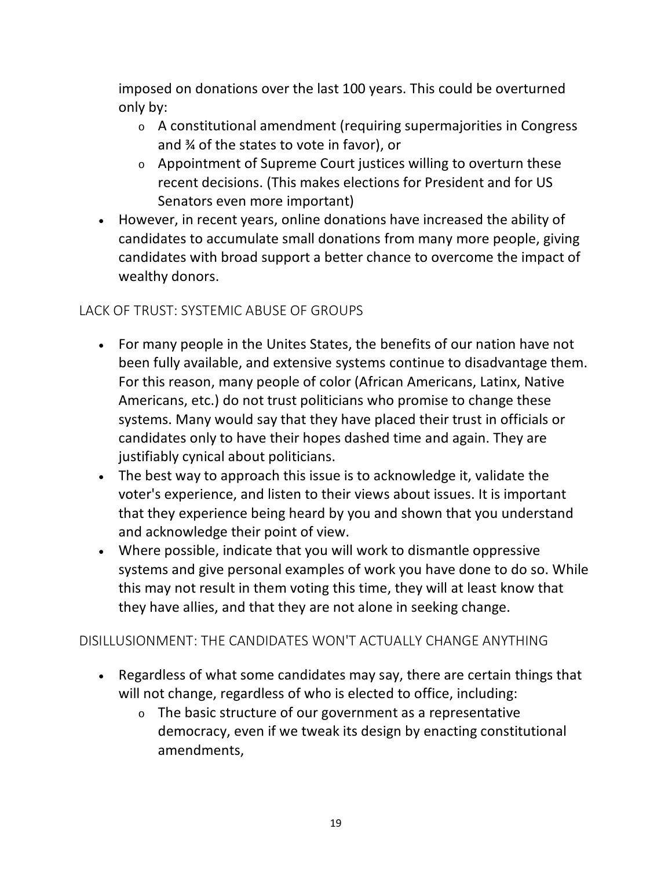imposed on donations over the last 100 years. This could be overturned only by:

- <sup>o</sup> A constitutional amendment (requiring supermajorities in Congress and ¾ of the states to vote in favor), or
- <sup>o</sup> Appointment of Supreme Court justices willing to overturn these recent decisions. (This makes elections for President and for US Senators even more important)
- However, in recent years, online donations have increased the ability of candidates to accumulate small donations from many more people, giving candidates with broad support a better chance to overcome the impact of wealthy donors.

## <span id="page-18-0"></span>LACK OF TRUST: SYSTEMIC ABUSE OF GROUPS

- For many people in the Unites States, the benefits of our nation have not been fully available, and extensive systems continue to disadvantage them. For this reason, many people of color (African Americans, Latinx, Native Americans, etc.) do not trust politicians who promise to change these systems. Many would say that they have placed their trust in officials or candidates only to have their hopes dashed time and again. They are justifiably cynical about politicians.
- The best way to approach this issue is to acknowledge it, validate the voter's experience, and listen to their views about issues. It is important that they experience being heard by you and shown that you understand and acknowledge their point of view.
- Where possible, indicate that you will work to dismantle oppressive systems and give personal examples of work you have done to do so. While this may not result in them voting this time, they will at least know that they have allies, and that they are not alone in seeking change.

## <span id="page-18-1"></span>DISILLUSIONMENT: THE CANDIDATES WON'T ACTUALLY CHANGE ANYTHING

- Regardless of what some candidates may say, there are certain things that will not change, regardless of who is elected to office, including:
	- $\circ$  The basic structure of our government as a representative democracy, even if we tweak its design by enacting constitutional amendments,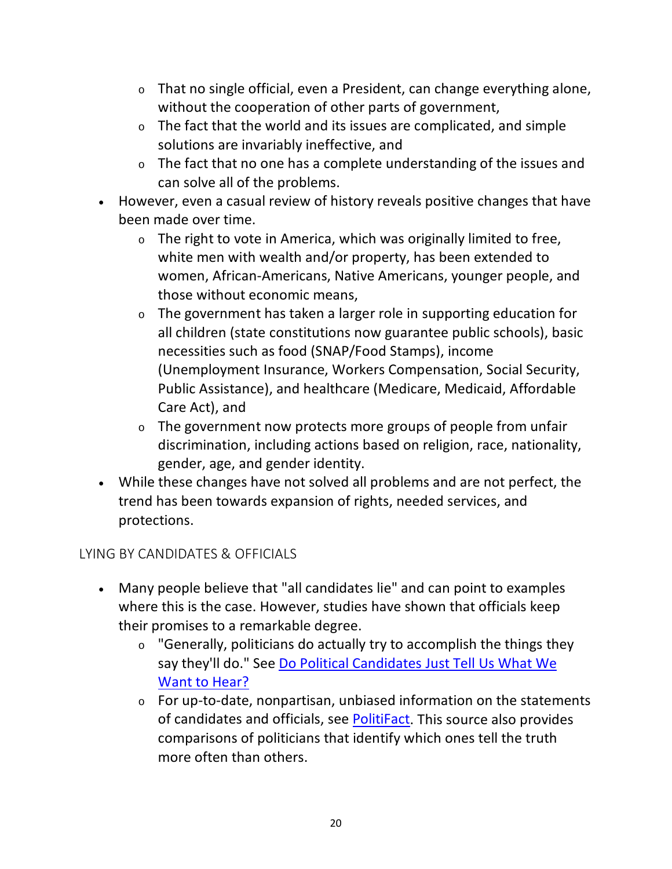- <sup>o</sup> That no single official, even a President, can change everything alone, without the cooperation of other parts of government,
- $\circ$  The fact that the world and its issues are complicated, and simple solutions are invariably ineffective, and
- <sup>o</sup> The fact that no one has a complete understanding of the issues and can solve all of the problems.
- However, even a casual review of history reveals positive changes that have been made over time.
	- $\circ$  The right to vote in America, which was originally limited to free, white men with wealth and/or property, has been extended to women, African-Americans, Native Americans, younger people, and those without economic means,
	- <sup>o</sup> The government has taken a larger role in supporting education for all children (state constitutions now guarantee public schools), basic necessities such as food (SNAP/Food Stamps), income (Unemployment Insurance, Workers Compensation, Social Security, Public Assistance), and healthcare (Medicare, Medicaid, Affordable Care Act), and
	- <sup>o</sup> The government now protects more groups of people from unfair discrimination, including actions based on religion, race, nationality, gender, age, and gender identity.
- While these changes have not solved all problems and are not perfect, the trend has been towards expansion of rights, needed services, and protections.

## <span id="page-19-0"></span>LYING BY CANDIDATES & OFFICIALS

- Many people believe that "all candidates lie" and can point to examples where this is the case. However, studies have shown that officials keep their promises to a remarkable degree.
	- $\circ$  "Generally, politicians do actually try to accomplish the things they say they'll do." See [Do Political Candidates Just Tell Us What We](https://www.rewire.org/political-candidates-campaign-promises/)  [Want to Hear?](https://www.rewire.org/political-candidates-campaign-promises/)
	- $\circ$  For up-to-date, nonpartisan, unbiased information on the statements of candidates and officials, see [PolitiFact.](https://www.politifact.com/) This source also provides comparisons of politicians that identify which ones tell the truth more often than others.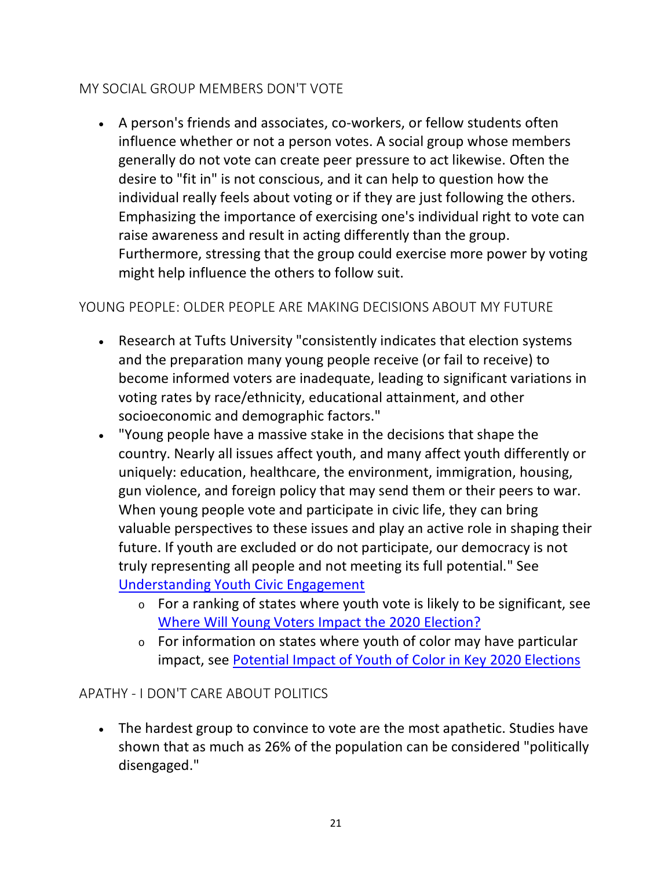## <span id="page-20-0"></span>MY SOCIAL GROUP MEMBERS DON'T VOTE

• A person's friends and associates, co-workers, or fellow students often influence whether or not a person votes. A social group whose members generally do not vote can create peer pressure to act likewise. Often the desire to "fit in" is not conscious, and it can help to question how the individual really feels about voting or if they are just following the others. Emphasizing the importance of exercising one's individual right to vote can raise awareness and result in acting differently than the group. Furthermore, stressing that the group could exercise more power by voting might help influence the others to follow suit.

## <span id="page-20-1"></span>YOUNG PEOPLE: OLDER PEOPLE ARE MAKING DECISIONS ABOUT MY FUTURE

- Research at Tufts University "consistently indicates that election systems and the preparation many young people receive (or fail to receive) to become informed voters are inadequate, leading to significant variations in voting rates by race/ethnicity, educational attainment, and other socioeconomic and demographic factors."
- "Young people have a massive stake in the decisions that shape the country. Nearly all issues affect youth, and many affect youth differently or uniquely: education, healthcare, the environment, immigration, housing, gun violence, and foreign policy that may send them or their peers to war. When young people vote and participate in civic life, they can bring valuable perspectives to these issues and play an active role in shaping their future. If youth are excluded or do not participate, our democracy is not truly representing all people and not meeting its full potential." See [Understanding Youth Civic Engagement](https://circle.tufts.edu/understanding-youth-civic-engagement/why-it-important)
	- <sup>o</sup> For a ranking of states where youth vote is likely to be significant, see [Where Will Young Voters Impact the 2020 Election?](https://circle.tufts.edu/yesi2020)
	- $\circ$  For information on states where youth of color may have particular impact, see [Potential Impact of Youth of Color in Key 2020 Elections](https://circle.tufts.edu/latest-research/potential-impact-youth-color-key-2020-elections)

## <span id="page-20-2"></span>APATHY - I DON'T CARE ABOUT POLITICS

• The hardest group to convince to vote are the most apathetic. Studies have shown that as much as 26% of the population can be considered "politically disengaged."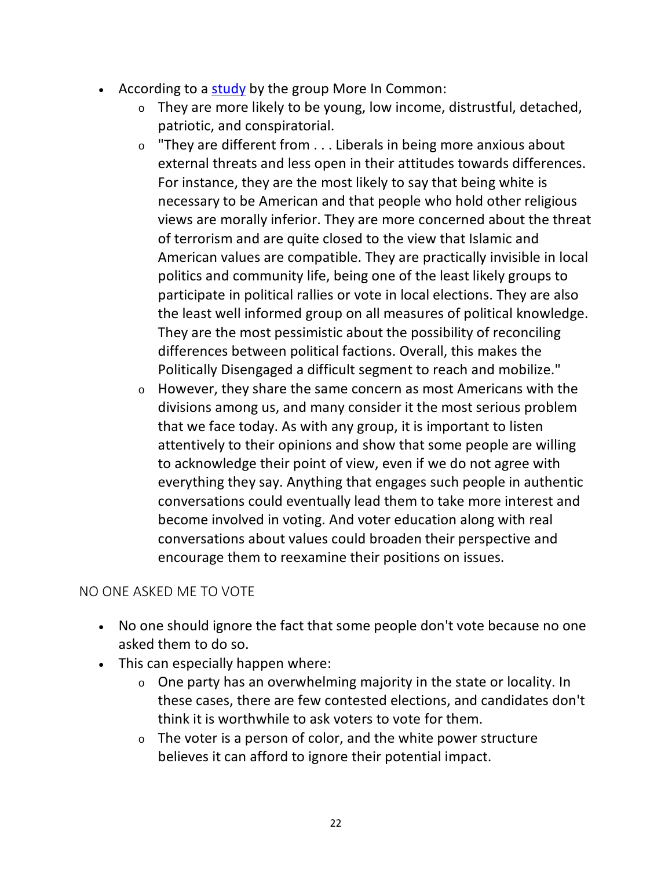- According to a [study](https://hiddentribes.us/about/) by the group More In Common:
	- $\circ$  They are more likely to be young, low income, distrustful, detached, patriotic, and conspiratorial.
	- $\circ$  "They are different from  $\dots$  Liberals in being more anxious about external threats and less open in their attitudes towards differences. For instance, they are the most likely to say that being white is necessary to be American and that people who hold other religious views are morally inferior. They are more concerned about the threat of terrorism and are quite closed to the view that Islamic and American values are compatible. They are practically invisible in local politics and community life, being one of the least likely groups to participate in political rallies or vote in local elections. They are also the least well informed group on all measures of political knowledge. They are the most pessimistic about the possibility of reconciling differences between political factions. Overall, this makes the Politically Disengaged a difficult segment to reach and mobilize."
	- <sup>o</sup> However, they share the same concern as most Americans with the divisions among us, and many consider it the most serious problem that we face today. As with any group, it is important to listen attentively to their opinions and show that some people are willing to acknowledge their point of view, even if we do not agree with everything they say. Anything that engages such people in authentic conversations could eventually lead them to take more interest and become involved in voting. And voter education along with real conversations about values could broaden their perspective and encourage them to reexamine their positions on issues.

## <span id="page-21-0"></span>NO ONE ASKED ME TO VOTE

- No one should ignore the fact that some people don't vote because no one asked them to do so.
- This can especially happen where:
	- <sup>o</sup> One party has an overwhelming majority in the state or locality. In these cases, there are few contested elections, and candidates don't think it is worthwhile to ask voters to vote for them.
	- $\circ$  The voter is a person of color, and the white power structure believes it can afford to ignore their potential impact.